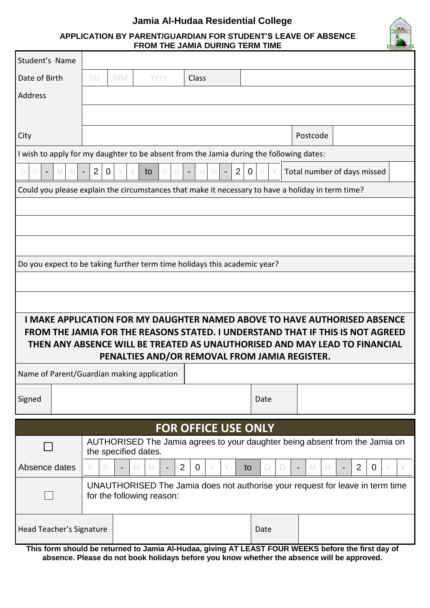

## **APPLICATION BY PARENT/GUARDIAN FOR STUDENT'S LEAVE OF ABSENCE FROM THE JAMIA DURING TERM TIME**

| Student's Name                                                                                                                                                 |                                                                                                     |           |                                    |                                                                               |    |        |          |                     |  |
|----------------------------------------------------------------------------------------------------------------------------------------------------------------|-----------------------------------------------------------------------------------------------------|-----------|------------------------------------|-------------------------------------------------------------------------------|----|--------|----------|---------------------|--|
| Date of Birth                                                                                                                                                  | <b>DD</b>                                                                                           | <b>MM</b> | <b>YYYY</b>                        | Class                                                                         |    |        |          |                     |  |
| Address                                                                                                                                                        |                                                                                                     |           |                                    |                                                                               |    |        |          |                     |  |
|                                                                                                                                                                |                                                                                                     |           |                                    |                                                                               |    |        |          |                     |  |
| City                                                                                                                                                           |                                                                                                     |           |                                    |                                                                               |    |        | Postcode |                     |  |
| I wish to apply for my daughter to be absent from the Jamia during the following dates:                                                                        |                                                                                                     |           |                                    |                                                                               |    |        |          |                     |  |
| $\overline{2}$<br>2<br>$\overline{0}$<br>Total number of days missed<br>M<br>$\mathbf 0$<br>D.<br>M<br>to<br>M<br>D<br>D<br>D<br>M<br>$\overline{\phantom{a}}$ |                                                                                                     |           |                                    |                                                                               |    |        |          |                     |  |
| Could you please explain the circumstances that make it necessary to have a holiday in term time?                                                              |                                                                                                     |           |                                    |                                                                               |    |        |          |                     |  |
|                                                                                                                                                                |                                                                                                     |           |                                    |                                                                               |    |        |          |                     |  |
|                                                                                                                                                                |                                                                                                     |           |                                    |                                                                               |    |        |          |                     |  |
|                                                                                                                                                                |                                                                                                     |           |                                    |                                                                               |    |        |          |                     |  |
| Do you expect to be taking further term time holidays this academic year?                                                                                      |                                                                                                     |           |                                    |                                                                               |    |        |          |                     |  |
|                                                                                                                                                                |                                                                                                     |           |                                    |                                                                               |    |        |          |                     |  |
|                                                                                                                                                                |                                                                                                     |           |                                    |                                                                               |    |        |          |                     |  |
| <b>I MAKE APPLICATION FOR MY DAUGHTER NAMED ABOVE TO HAVE AUTHORISED ABSENCE</b>                                                                               |                                                                                                     |           |                                    |                                                                               |    |        |          |                     |  |
| FROM THE JAMIA FOR THE REASONS STATED. I UNDERSTAND THAT IF THIS IS NOT AGREED                                                                                 |                                                                                                     |           |                                    |                                                                               |    |        |          |                     |  |
| THEN ANY ABSENCE WILL BE TREATED AS UNAUTHORISED AND MAY LEAD TO FINANCIAL<br>PENALTIES AND/OR REMOVAL FROM JAMIA REGISTER.                                    |                                                                                                     |           |                                    |                                                                               |    |        |          |                     |  |
| Name of Parent/Guardian making application                                                                                                                     |                                                                                                     |           |                                    |                                                                               |    |        |          |                     |  |
| Signed                                                                                                                                                         |                                                                                                     |           |                                    |                                                                               |    | Date   |          |                     |  |
|                                                                                                                                                                |                                                                                                     |           |                                    |                                                                               |    |        |          |                     |  |
| <b>FOR OFFICE USE ONLY</b>                                                                                                                                     |                                                                                                     |           |                                    |                                                                               |    |        |          |                     |  |
|                                                                                                                                                                | AUTHORISED The Jamia agrees to your daughter being absent from the Jamia on<br>the specified dates. |           |                                    |                                                                               |    |        |          |                     |  |
| Absence dates                                                                                                                                                  | D<br>D                                                                                              |           | M<br>M<br>$\overline{\phantom{a}}$ | 2<br>$\overline{0}$<br>Y                                                      | to | D<br>D | M<br>M   | 2<br>$\overline{0}$ |  |
|                                                                                                                                                                |                                                                                                     |           |                                    |                                                                               |    |        |          |                     |  |
|                                                                                                                                                                |                                                                                                     |           |                                    | UNAUTHORISED The Jamia does not authorise your request for leave in term time |    |        |          |                     |  |
|                                                                                                                                                                |                                                                                                     |           | for the following reason:          |                                                                               |    |        |          |                     |  |
| Head Teacher's Signature                                                                                                                                       |                                                                                                     |           |                                    |                                                                               |    | Date   |          |                     |  |

**absence. Please do not book holidays before you know whether the absence will be approved.**